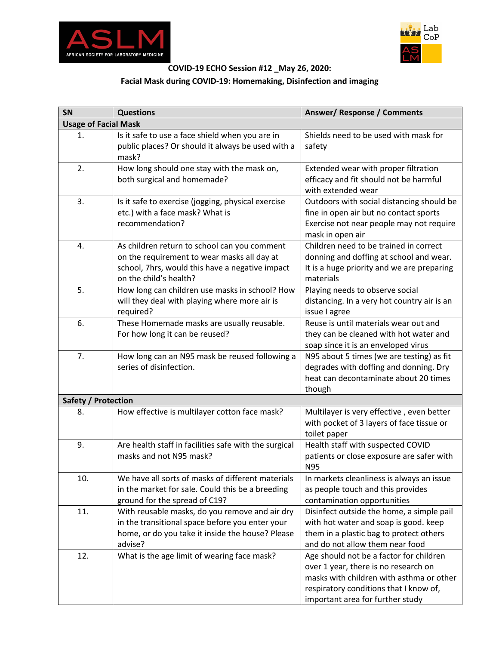



## **COVID-19 ECHO Session #12 \_May 26, 2020: Facial Mask during COVID-19: Homemaking, Disinfection and imaging**

| <b>SN</b>                   | <b>Questions</b>                                                                                                                                                         | <b>Answer/ Response / Comments</b>                                                                                                                                                                        |  |
|-----------------------------|--------------------------------------------------------------------------------------------------------------------------------------------------------------------------|-----------------------------------------------------------------------------------------------------------------------------------------------------------------------------------------------------------|--|
| <b>Usage of Facial Mask</b> |                                                                                                                                                                          |                                                                                                                                                                                                           |  |
| 1.                          | Is it safe to use a face shield when you are in<br>public places? Or should it always be used with a<br>mask?                                                            | Shields need to be used with mask for<br>safety                                                                                                                                                           |  |
| 2.                          | How long should one stay with the mask on,<br>both surgical and homemade?                                                                                                | Extended wear with proper filtration<br>efficacy and fit should not be harmful<br>with extended wear                                                                                                      |  |
| 3.                          | Is it safe to exercise (jogging, physical exercise<br>etc.) with a face mask? What is<br>recommendation?                                                                 | Outdoors with social distancing should be<br>fine in open air but no contact sports<br>Exercise not near people may not require<br>mask in open air                                                       |  |
| 4.                          | As children return to school can you comment<br>on the requirement to wear masks all day at<br>school, 7hrs, would this have a negative impact<br>on the child's health? | Children need to be trained in correct<br>donning and doffing at school and wear.<br>It is a huge priority and we are preparing<br>materials                                                              |  |
| 5.                          | How long can children use masks in school? How<br>will they deal with playing where more air is<br>required?                                                             | Playing needs to observe social<br>distancing. In a very hot country air is an<br>issue I agree                                                                                                           |  |
| 6.                          | These Homemade masks are usually reusable.<br>For how long it can be reused?                                                                                             | Reuse is until materials wear out and<br>they can be cleaned with hot water and<br>soap since it is an enveloped virus                                                                                    |  |
| 7.                          | How long can an N95 mask be reused following a<br>series of disinfection.                                                                                                | N95 about 5 times (we are testing) as fit<br>degrades with doffing and donning. Dry<br>heat can decontaminate about 20 times<br>though                                                                    |  |
| Protection<br>Safety /      |                                                                                                                                                                          |                                                                                                                                                                                                           |  |
| 8.                          | How effective is multilayer cotton face mask?                                                                                                                            | Multilayer is very effective, even better<br>with pocket of 3 layers of face tissue or<br>toilet paper                                                                                                    |  |
| 9.                          | Are health staff in facilities safe with the surgical<br>masks and not N95 mask?                                                                                         | Health staff with suspected COVID<br>patients or close exposure are safer with<br>N95                                                                                                                     |  |
| 10.                         | We have all sorts of masks of different materials<br>in the market for sale. Could this be a breeding<br>ground for the spread of C19?                                   | In markets cleanliness is always an issue<br>as people touch and this provides<br>contamination opportunities                                                                                             |  |
| 11.                         | With reusable masks, do you remove and air dry<br>in the transitional space before you enter your<br>home, or do you take it inside the house? Please<br>advise?         | Disinfect outside the home, a simple pail<br>with hot water and soap is good. keep<br>them in a plastic bag to protect others<br>and do not allow them near food                                          |  |
| 12.                         | What is the age limit of wearing face mask?                                                                                                                              | Age should not be a factor for children<br>over 1 year, there is no research on<br>masks with children with asthma or other<br>respiratory conditions that I know of,<br>important area for further study |  |